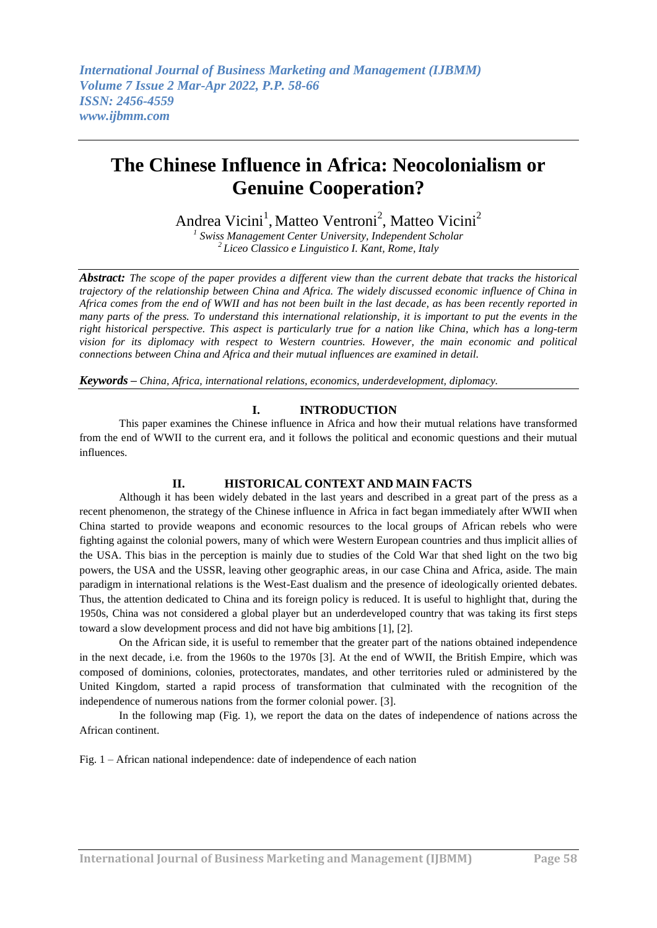Andrea Vicini<sup>1</sup>, Matteo Ventroni<sup>2</sup>, Matteo Vicini<sup>2</sup> *1 Swiss Management Center University, Independent Scholar*

*2 Liceo Classico e Linguistico I. Kant, Rome, Italy*

*Abstract: The scope of the paper provides a different view than the current debate that tracks the historical trajectory of the relationship between China and Africa. The widely discussed economic influence of China in Africa comes from the end of WWII and has not been built in the last decade, as has been recently reported in many parts of the press. To understand this international relationship, it is important to put the events in the right historical perspective. This aspect is particularly true for a nation like China, which has a long-term vision for its diplomacy with respect to Western countries. However, the main economic and political connections between China and Africa and their mutual influences are examined in detail.*

*Keywords – China, Africa, international relations, economics, underdevelopment, diplomacy.*

#### **I. INTRODUCTION**

This paper examines the Chinese influence in Africa and how their mutual relations have transformed from the end of WWII to the current era, and it follows the political and economic questions and their mutual influences.

#### **II. HISTORICAL CONTEXT AND MAIN FACTS**

Although it has been widely debated in the last years and described in a great part of the press as a recent phenomenon, the strategy of the Chinese influence in Africa in fact began immediately after WWII when China started to provide weapons and economic resources to the local groups of African rebels who were fighting against the colonial powers, many of which were Western European countries and thus implicit allies of the USA. This bias in the perception is mainly due to studies of the Cold War that shed light on the two big powers, the USA and the USSR, leaving other geographic areas, in our case China and Africa, aside. The main paradigm in international relations is the West-East dualism and the presence of ideologically oriented debates. Thus, the attention dedicated to China and its foreign policy is reduced. It is useful to highlight that, during the 1950s, China was not considered a global player but an underdeveloped country that was taking its first steps toward a slow development process and did not have big ambitions [1], [2].

On the African side, it is useful to remember that the greater part of the nations obtained independence in the next decade, i.e. from the 1960s to the 1970s [3]. At the end of WWII, the British Empire, which was composed of dominions, colonies, protectorates, mandates, and other territories ruled or administered by the United Kingdom, started a rapid process of transformation that culminated with the recognition of the independence of numerous nations from the former colonial power. [3].

In the following map (Fig. 1), we report the data on the dates of independence of nations across the African continent.

Fig. 1 – African national independence: date of independence of each nation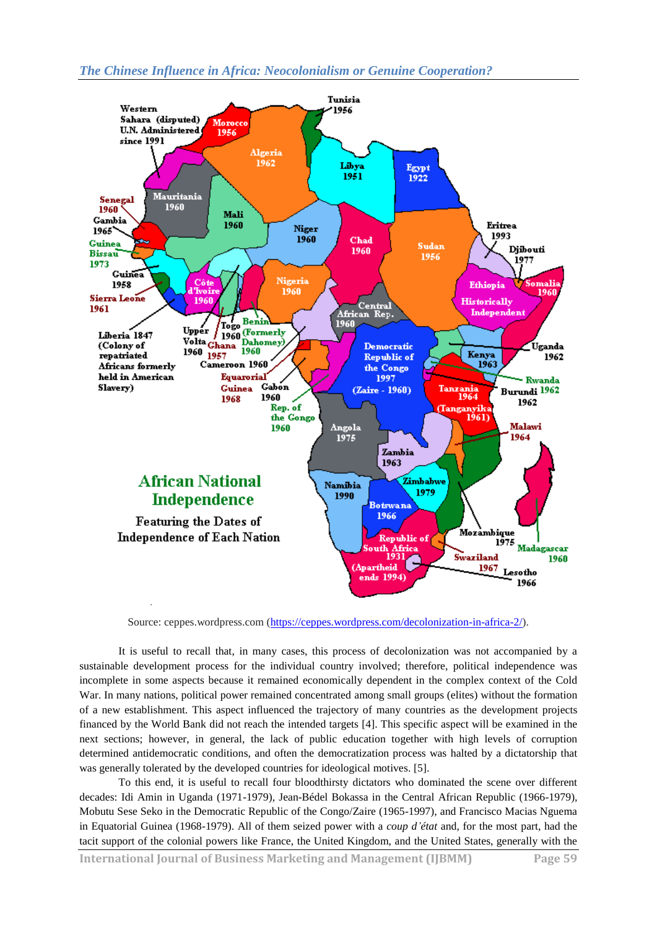

Source: ceppes.wordpress.com [\(https://ceppes.wordpress.com/decolonization-in-africa-2/\)](https://ceppes.wordpress.com/decolonization-in-africa-2/).

It is useful to recall that, in many cases, this process of decolonization was not accompanied by a sustainable development process for the individual country involved; therefore, political independence was incomplete in some aspects because it remained economically dependent in the complex context of the Cold War. In many nations, political power remained concentrated among small groups (elites) without the formation of a new establishment. This aspect influenced the trajectory of many countries as the development projects financed by the World Bank did not reach the intended targets [4]. This specific aspect will be examined in the next sections; however, in general, the lack of public education together with high levels of corruption determined antidemocratic conditions, and often the democratization process was halted by a dictatorship that was generally tolerated by the developed countries for ideological motives. [5].

To this end, it is useful to recall four bloodthirsty dictators who dominated the scene over different decades: Idi Amin in Uganda (1971-1979)*,* Jean-Bédel Bokassa in the Central African Republic (1966-1979)*,*  Mobutu Sese Seko in the Democratic Republic of the Congo/Zaire (1965-1997), and Francisco Macias Nguema in Equatorial Guinea (1968-1979). All of them seized power with a *coup d'état* and, for the most part, had the tacit support of the colonial powers like France, the United Kingdom, and the United States, generally with the

**International Journal of Business Marketing and Management (IJBMM) Page 59**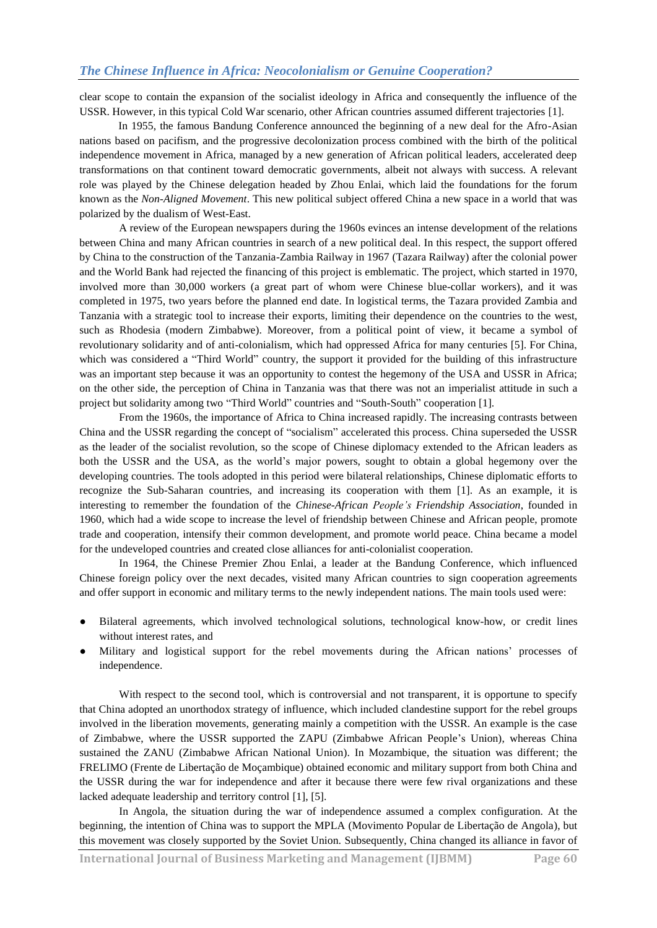clear scope to contain the expansion of the socialist ideology in Africa and consequently the influence of the USSR. However, in this typical Cold War scenario, other African countries assumed different trajectories [1].

In 1955, the famous Bandung Conference announced the beginning of a new deal for the Afro-Asian nations based on pacifism, and the progressive decolonization process combined with the birth of the political independence movement in Africa, managed by a new generation of African political leaders, accelerated deep transformations on that continent toward democratic governments, albeit not always with success. A relevant role was played by the Chinese delegation headed by Zhou Enlai, which laid the foundations for the forum known as the *Non-Aligned Movement*. This new political subject offered China a new space in a world that was polarized by the dualism of West-East.

A review of the European newspapers during the 1960s evinces an intense development of the relations between China and many African countries in search of a new political deal. In this respect, the support offered by China to the construction of the Tanzania-Zambia Railway in 1967 (Tazara Railway) after the colonial power and the World Bank had rejected the financing of this project is emblematic. The project, which started in 1970, involved more than 30,000 workers (a great part of whom were Chinese blue-collar workers), and it was completed in 1975, two years before the planned end date. In logistical terms, the Tazara provided Zambia and Tanzania with a strategic tool to increase their exports, limiting their dependence on the countries to the west, such as Rhodesia (modern Zimbabwe). Moreover, from a political point of view, it became a symbol of revolutionary solidarity and of anti-colonialism, which had oppressed Africa for many centuries [5]. For China, which was considered a "Third World" country, the support it provided for the building of this infrastructure was an important step because it was an opportunity to contest the hegemony of the USA and USSR in Africa; on the other side, the perception of China in Tanzania was that there was not an imperialist attitude in such a project but solidarity among two "Third World" countries and "South-South" cooperation [1].

From the 1960s, the importance of Africa to China increased rapidly. The increasing contrasts between China and the USSR regarding the concept of "socialism" accelerated this process. China superseded the USSR as the leader of the socialist revolution, so the scope of Chinese diplomacy extended to the African leaders as both the USSR and the USA, as the world's major powers, sought to obtain a global hegemony over the developing countries. The tools adopted in this period were bilateral relationships, Chinese diplomatic efforts to recognize the Sub-Saharan countries, and increasing its cooperation with them [1]. As an example, it is interesting to remember the foundation of the *Chinese-African People's Friendship Association*, founded in 1960, which had a wide scope to increase the level of friendship between Chinese and African people, promote trade and cooperation, intensify their common development, and promote world peace. China became a model for the undeveloped countries and created close alliances for anti-colonialist cooperation.

In 1964, the Chinese Premier Zhou Enlai, a leader at the Bandung Conference, which influenced Chinese foreign policy over the next decades, visited many African countries to sign cooperation agreements and offer support in economic and military terms to the newly independent nations. The main tools used were:

- Bilateral agreements, which involved technological solutions, technological know-how, or credit lines without interest rates, and
- Military and logistical support for the rebel movements during the African nations' processes of independence.

With respect to the second tool, which is controversial and not transparent, it is opportune to specify that China adopted an unorthodox strategy of influence, which included clandestine support for the rebel groups involved in the liberation movements, generating mainly a competition with the USSR. An example is the case of Zimbabwe, where the USSR supported the ZAPU (Zimbabwe African People's Union), whereas China sustained the ZANU (Zimbabwe African National Union). In Mozambique, the situation was different; the FRELIMO (Frente de Libertação de Moçambique) obtained economic and military support from both China and the USSR during the war for independence and after it because there were few rival organizations and these lacked adequate leadership and territory control [1], [5].

In Angola, the situation during the war of independence assumed a complex configuration. At the beginning, the intention of China was to support the MPLA (Movimento Popular de Libertação de Angola), but this movement was closely supported by the Soviet Union. Subsequently, China changed its alliance in favor of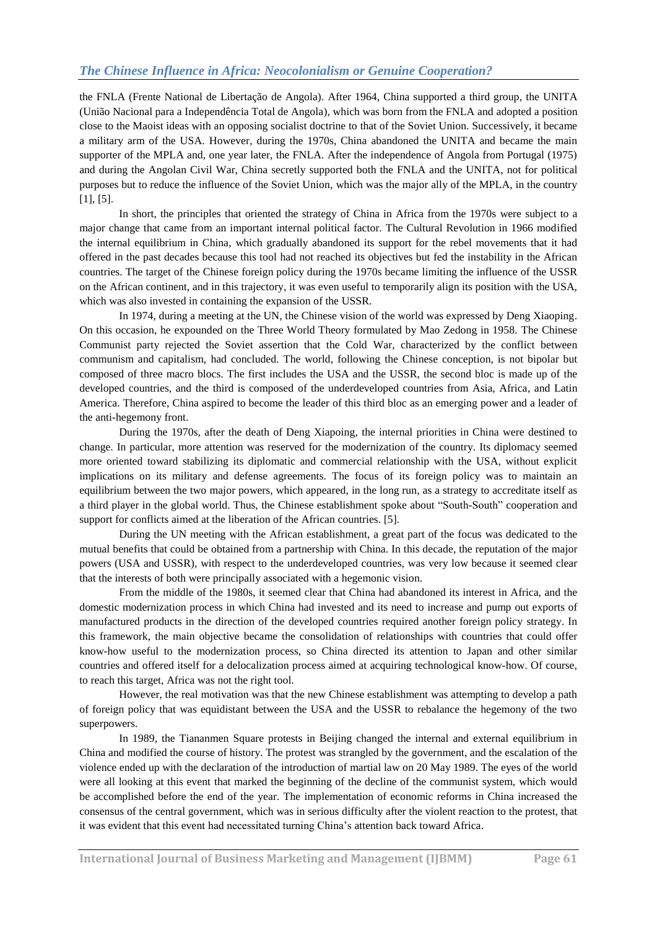the FNLA (Frente National de Libertação de Angola). After 1964, China supported a third group, the UNITA (União Nacional para a Independência Total de Angola), which was born from the FNLA and adopted a position close to the Maoist ideas with an opposing socialist doctrine to that of the Soviet Union. Successively, it became a military arm of the USA. However, during the 1970s, China abandoned the UNITA and became the main supporter of the MPLA and, one year later, the FNLA. After the independence of Angola from Portugal (1975) and during the Angolan Civil War, China secretly supported both the FNLA and the UNITA, not for political purposes but to reduce the influence of the Soviet Union, which was the major ally of the MPLA, in the country [1], [5].

In short, the principles that oriented the strategy of China in Africa from the 1970s were subject to a major change that came from an important internal political factor. The Cultural Revolution in 1966 modified the internal equilibrium in China, which gradually abandoned its support for the rebel movements that it had offered in the past decades because this tool had not reached its objectives but fed the instability in the African countries. The target of the Chinese foreign policy during the 1970s became limiting the influence of the USSR on the African continent, and in this trajectory, it was even useful to temporarily align its position with the USA, which was also invested in containing the expansion of the USSR.

In 1974, during a meeting at the UN, the Chinese vision of the world was expressed by Deng Xiaoping. On this occasion, he expounded on the Three World Theory formulated by Mao Zedong in 1958. The Chinese Communist party rejected the Soviet assertion that the Cold War, characterized by the conflict between communism and capitalism, had concluded. The world, following the Chinese conception, is not bipolar but composed of three macro blocs. The first includes the USA and the USSR, the second bloc is made up of the developed countries, and the third is composed of the underdeveloped countries from Asia, Africa, and Latin America. Therefore, China aspired to become the leader of this third bloc as an emerging power and a leader of the anti-hegemony front.

During the 1970s, after the death of Deng Xiapoing, the internal priorities in China were destined to change. In particular, more attention was reserved for the modernization of the country. Its diplomacy seemed more oriented toward stabilizing its diplomatic and commercial relationship with the USA, without explicit implications on its military and defense agreements. The focus of its foreign policy was to maintain an equilibrium between the two major powers, which appeared, in the long run, as a strategy to accreditate itself as a third player in the global world. Thus, the Chinese establishment spoke about "South-South" cooperation and support for conflicts aimed at the liberation of the African countries. [5].

During the UN meeting with the African establishment, a great part of the focus was dedicated to the mutual benefits that could be obtained from a partnership with China. In this decade, the reputation of the major powers (USA and USSR), with respect to the underdeveloped countries, was very low because it seemed clear that the interests of both were principally associated with a hegemonic vision.

From the middle of the 1980s, it seemed clear that China had abandoned its interest in Africa, and the domestic modernization process in which China had invested and its need to increase and pump out exports of manufactured products in the direction of the developed countries required another foreign policy strategy. In this framework, the main objective became the consolidation of relationships with countries that could offer know-how useful to the modernization process, so China directed its attention to Japan and other similar countries and offered itself for a delocalization process aimed at acquiring technological know-how. Of course, to reach this target, Africa was not the right tool.

However, the real motivation was that the new Chinese establishment was attempting to develop a path of foreign policy that was equidistant between the USA and the USSR to rebalance the hegemony of the two superpowers.

In 1989, the Tiananmen Square protests in Beijing changed the internal and external equilibrium in China and modified the course of history. The protest was strangled by the government, and the escalation of the violence ended up with the declaration of the introduction of martial law on 20 May 1989. The eyes of the world were all looking at this event that marked the beginning of the decline of the communist system, which would be accomplished before the end of the year. The implementation of economic reforms in China increased the consensus of the central government, which was in serious difficulty after the violent reaction to the protest, that it was evident that this event had necessitated turning China's attention back toward Africa.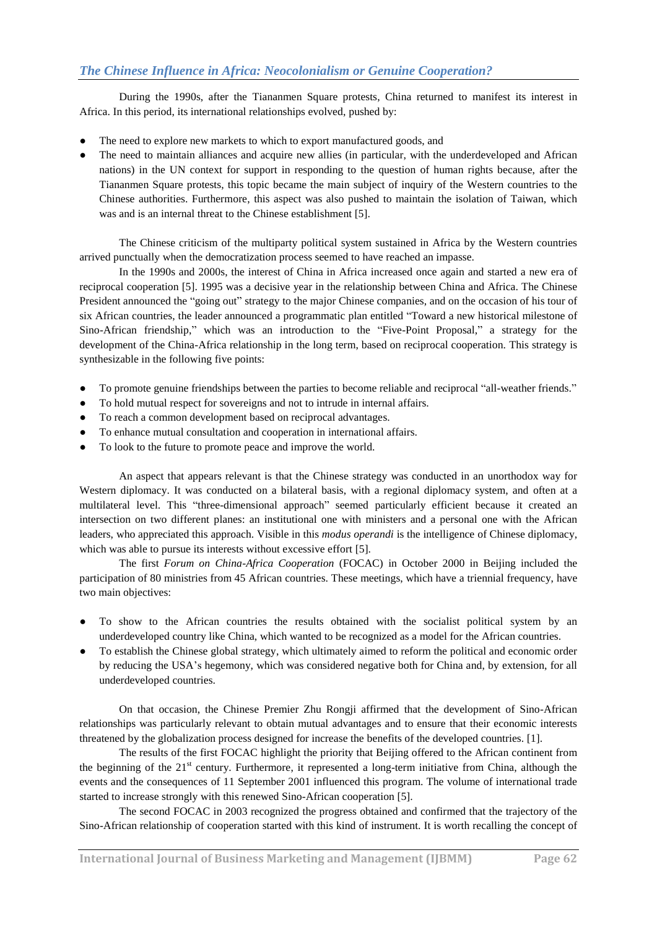During the 1990s, after the Tiananmen Square protests, China returned to manifest its interest in Africa. In this period, its international relationships evolved, pushed by:

- The need to explore new markets to which to export manufactured goods, and
- The need to maintain alliances and acquire new allies (in particular, with the underdeveloped and African nations) in the UN context for support in responding to the question of human rights because, after the Tiananmen Square protests, this topic became the main subject of inquiry of the Western countries to the Chinese authorities. Furthermore, this aspect was also pushed to maintain the isolation of Taiwan, which was and is an internal threat to the Chinese establishment [5].

The Chinese criticism of the multiparty political system sustained in Africa by the Western countries arrived punctually when the democratization process seemed to have reached an impasse.

In the 1990s and 2000s, the interest of China in Africa increased once again and started a new era of reciprocal cooperation [5]. 1995 was a decisive year in the relationship between China and Africa. The Chinese President announced the "going out" strategy to the major Chinese companies, and on the occasion of his tour of six African countries, the leader announced a programmatic plan entitled "Toward a new historical milestone of Sino-African friendship," which was an introduction to the "Five-Point Proposal," a strategy for the development of the China-Africa relationship in the long term, based on reciprocal cooperation. This strategy is synthesizable in the following five points:

- To promote genuine friendships between the parties to become reliable and reciprocal "all-weather friends."
- To hold mutual respect for sovereigns and not to intrude in internal affairs.
- To reach a common development based on reciprocal advantages.
- To enhance mutual consultation and cooperation in international affairs.
- To look to the future to promote peace and improve the world.

An aspect that appears relevant is that the Chinese strategy was conducted in an unorthodox way for Western diplomacy. It was conducted on a bilateral basis, with a regional diplomacy system, and often at a multilateral level. This "three-dimensional approach" seemed particularly efficient because it created an intersection on two different planes: an institutional one with ministers and a personal one with the African leaders, who appreciated this approach. Visible in this *modus operandi* is the intelligence of Chinese diplomacy, which was able to pursue its interests without excessive effort [5].

The first *Forum on China-Africa Cooperation* (FOCAC) in October 2000 in Beijing included the participation of 80 ministries from 45 African countries. These meetings, which have a triennial frequency, have two main objectives:

- To show to the African countries the results obtained with the socialist political system by an underdeveloped country like China, which wanted to be recognized as a model for the African countries.
- To establish the Chinese global strategy, which ultimately aimed to reform the political and economic order by reducing the USA's hegemony, which was considered negative both for China and, by extension, for all underdeveloped countries.

On that occasion, the Chinese Premier Zhu Rongji affirmed that the development of Sino-African relationships was particularly relevant to obtain mutual advantages and to ensure that their economic interests threatened by the globalization process designed for increase the benefits of the developed countries. [1].

The results of the first FOCAC highlight the priority that Beijing offered to the African continent from the beginning of the  $21<sup>st</sup>$  century. Furthermore, it represented a long-term initiative from China, although the events and the consequences of 11 September 2001 influenced this program. The volume of international trade started to increase strongly with this renewed Sino-African cooperation [5].

The second FOCAC in 2003 recognized the progress obtained and confirmed that the trajectory of the Sino-African relationship of cooperation started with this kind of instrument. It is worth recalling the concept of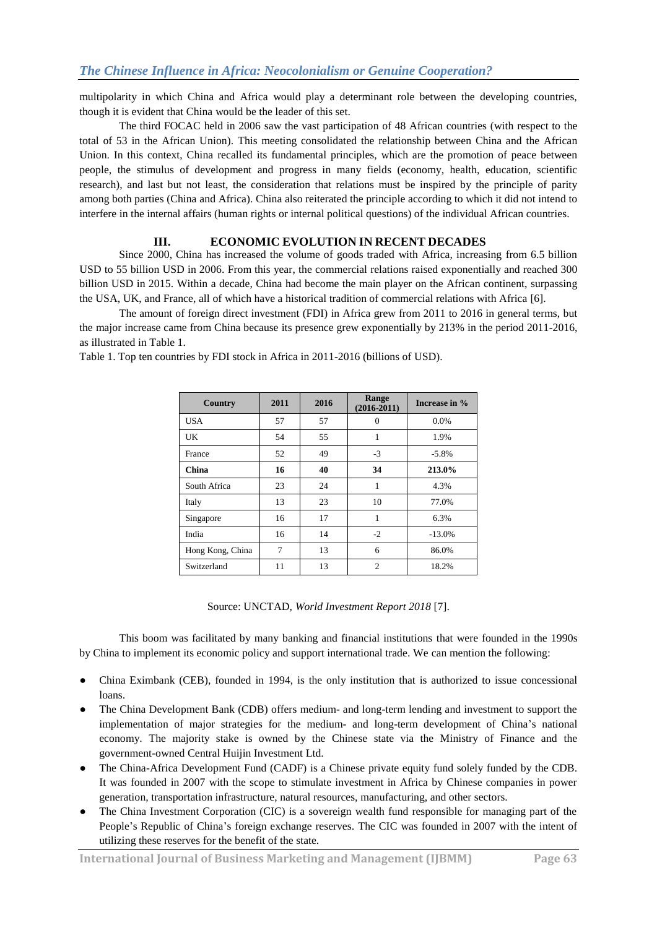multipolarity in which China and Africa would play a determinant role between the developing countries, though it is evident that China would be the leader of this set.

The third FOCAC held in 2006 saw the vast participation of 48 African countries (with respect to the total of 53 in the African Union). This meeting consolidated the relationship between China and the African Union. In this context, China recalled its fundamental principles, which are the promotion of peace between people, the stimulus of development and progress in many fields (economy, health, education, scientific research), and last but not least, the consideration that relations must be inspired by the principle of parity among both parties (China and Africa). China also reiterated the principle according to which it did not intend to interfere in the internal affairs (human rights or internal political questions) of the individual African countries.

#### **III. ECONOMIC EVOLUTION IN RECENT DECADES**

Since 2000, China has increased the volume of goods traded with Africa, increasing from 6.5 billion USD to 55 billion USD in 2006. From this year, the commercial relations raised exponentially and reached 300 billion USD in 2015. Within a decade, China had become the main player on the African continent, surpassing the USA, UK, and France, all of which have a historical tradition of commercial relations with Africa [6].

The amount of foreign direct investment (FDI) in Africa grew from 2011 to 2016 in general terms, but the major increase came from China because its presence grew exponentially by 213% in the period 2011-2016, as illustrated in Table 1.

Table 1. Top ten countries by FDI stock in Africa in 2011-2016 (billions of USD).

| Country          | 2011 | 2016 | Range<br>$(2016 - 2011)$ | Increase in % |
|------------------|------|------|--------------------------|---------------|
| USA              | 57   | 57   | $\theta$                 | 0.0%          |
| UK               | 54   | 55   | 1                        | 1.9%          |
| France           | 52   | 49   | $-3$                     | $-5.8%$       |
| China            | 16   | 40   | 34                       | 213.0%        |
| South Africa     | 23   | 24   | 1                        | 4.3%          |
| Italy            | 13   | 23   | 10                       | 77.0%         |
| Singapore        | 16   | 17   | 1                        | 6.3%          |
| India            | 16   | 14   | $-2$                     | $-13.0%$      |
| Hong Kong, China | 7    | 13   | 6                        | 86.0%         |
| Switzerland      | 11   | 13   | $\overline{c}$           | 18.2%         |

Source: UNCTAD, *World Investment Report 2018* [7].

This boom was facilitated by many banking and financial institutions that were founded in the 1990s by China to implement its economic policy and support international trade. We can mention the following:

- China Eximbank (CEB), founded in 1994, is the only institution that is authorized to issue concessional loans.
- The China Development Bank (CDB) offers medium- and long-term lending and investment to support the implementation of major strategies for the medium- and long-term development of China's national economy. The majority stake is owned by the Chinese state via the Ministry of Finance and the government-owned Central Huijin Investment Ltd.
- The China-Africa Development Fund (CADF) is a [Chinese](https://en.wikipedia.org/wiki/People%27s_Republic_of_China) [private equity](https://en.wikipedia.org/wiki/Private_equity) fund solely funded by the CDB. It was founded in 2007 with the scope to stimulate investment in Africa by Chinese companies in power generation, transportation infrastructure, natural resources, manufacturing, and other sectors.
- The China Investment Corporation (CIC) is a sovereign wealth fund responsible for managing part of the People's Republic of China's foreign exchange reserves. The CIC was founded in 2007 with the intent of utilizing these reserves for the benefit of the state.

**International Journal of Business Marketing and Management (IJBMM) Page 63**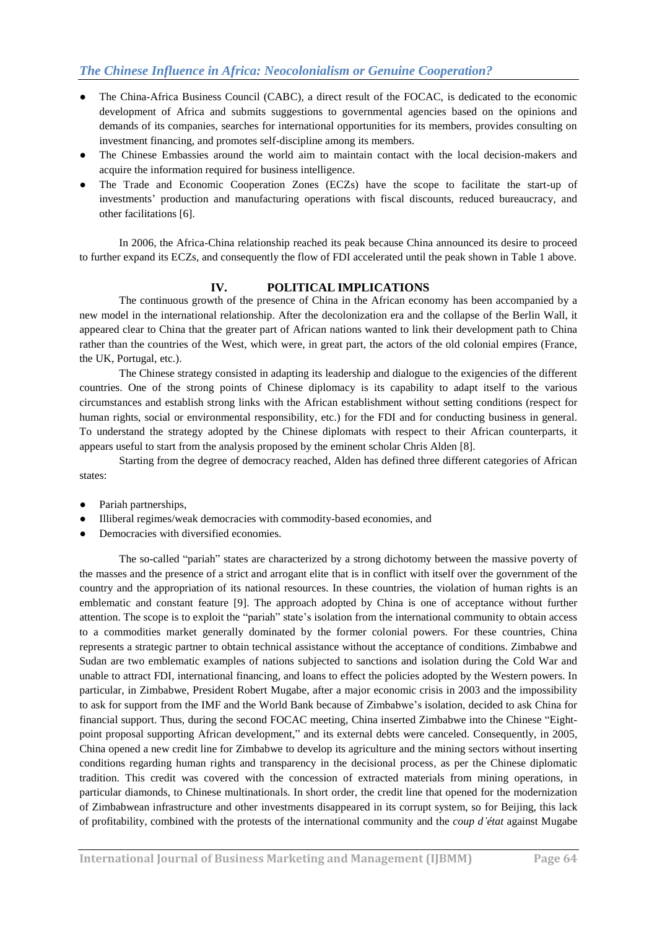- The China-Africa Business Council (CABC), a direct result of the FOCAC, is dedicated to the economic development of Africa and submits suggestions to governmental agencies based on the opinions and demands of its companies, searches for international opportunities for its members, provides consulting on investment financing, and promotes self-discipline among its members.
- The Chinese Embassies around the world aim to maintain contact with the local decision-makers and acquire the information required for business intelligence.
- The Trade and Economic Cooperation Zones (ECZs) have the scope to facilitate the start-up of investments' production and manufacturing operations with fiscal discounts, reduced bureaucracy, and other facilitations [6].

In 2006, the Africa-China relationship reached its peak because China announced its desire to proceed to further expand its ECZs, and consequently the flow of FDI accelerated until the peak shown in Table 1 above.

### **IV. POLITICAL IMPLICATIONS**

The continuous growth of the presence of China in the African economy has been accompanied by a new model in the international relationship. After the decolonization era and the collapse of the Berlin Wall, it appeared clear to China that the greater part of African nations wanted to link their development path to China rather than the countries of the West, which were, in great part, the actors of the old colonial empires (France, the UK, Portugal, etc.).

The Chinese strategy consisted in adapting its leadership and dialogue to the exigencies of the different countries. One of the strong points of Chinese diplomacy is its capability to adapt itself to the various circumstances and establish strong links with the African establishment without setting conditions (respect for human rights, social or environmental responsibility, etc.) for the FDI and for conducting business in general. To understand the strategy adopted by the Chinese diplomats with respect to their African counterparts, it appears useful to start from the analysis proposed by the eminent scholar Chris Alden [8].

Starting from the degree of democracy reached, Alden has defined three different categories of African states:

- Pariah partnerships,
- Illiberal regimes/weak democracies with commodity-based economies, and
- Democracies with diversified economies.

The so-called "pariah" states are characterized by a strong dichotomy between the massive poverty of the masses and the presence of a strict and arrogant elite that is in conflict with itself over the government of the country and the appropriation of its national resources. In these countries, the violation of human rights is an emblematic and constant feature [9]. The approach adopted by China is one of acceptance without further attention. The scope is to exploit the "pariah" state's isolation from the international community to obtain access to a commodities market generally dominated by the former colonial powers. For these countries, China represents a strategic partner to obtain technical assistance without the acceptance of conditions. Zimbabwe and Sudan are two emblematic examples of nations subjected to sanctions and isolation during the Cold War and unable to attract FDI, international financing, and loans to effect the policies adopted by the Western powers. In particular, in Zimbabwe, President Robert Mugabe, after a major economic crisis in 2003 and the impossibility to ask for support from the IMF and the World Bank because of Zimbabwe's isolation, decided to ask China for financial support. Thus, during the second FOCAC meeting, China inserted Zimbabwe into the Chinese "Eightpoint proposal supporting African development," and its external debts were canceled. Consequently, in 2005, China opened a new credit line for Zimbabwe to develop its agriculture and the mining sectors without inserting conditions regarding human rights and transparency in the decisional process, as per the Chinese diplomatic tradition. This credit was covered with the concession of extracted materials from mining operations, in particular diamonds, to Chinese multinationals. In short order, the credit line that opened for the modernization of Zimbabwean infrastructure and other investments disappeared in its corrupt system, so for Beijing, this lack of profitability, combined with the protests of the international community and the *coup d'état* against Mugabe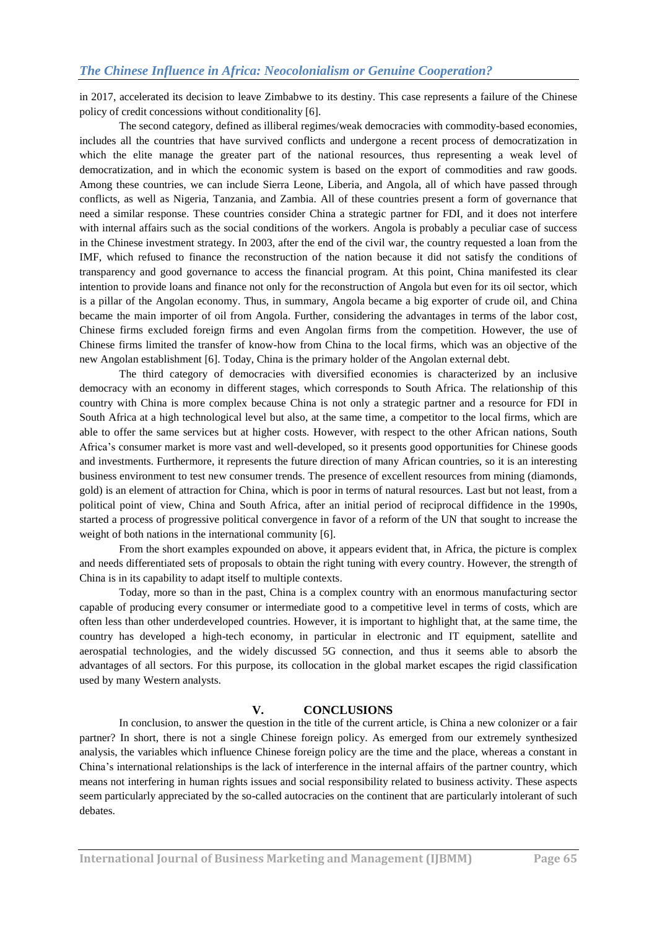in 2017, accelerated its decision to leave Zimbabwe to its destiny. This case represents a failure of the Chinese policy of credit concessions without conditionality [6].

The second category, defined as illiberal regimes/weak democracies with commodity-based economies, includes all the countries that have survived conflicts and undergone a recent process of democratization in which the elite manage the greater part of the national resources, thus representing a weak level of democratization, and in which the economic system is based on the export of commodities and raw goods. Among these countries, we can include Sierra Leone, Liberia, and Angola, all of which have passed through conflicts, as well as Nigeria, Tanzania, and Zambia. All of these countries present a form of governance that need a similar response. These countries consider China a strategic partner for FDI, and it does not interfere with internal affairs such as the social conditions of the workers. Angola is probably a peculiar case of success in the Chinese investment strategy. In 2003, after the end of the civil war, the country requested a loan from the IMF, which refused to finance the reconstruction of the nation because it did not satisfy the conditions of transparency and good governance to access the financial program. At this point, China manifested its clear intention to provide loans and finance not only for the reconstruction of Angola but even for its oil sector, which is a pillar of the Angolan economy. Thus, in summary, Angola became a big exporter of crude oil, and China became the main importer of oil from Angola. Further, considering the advantages in terms of the labor cost, Chinese firms excluded foreign firms and even Angolan firms from the competition. However, the use of Chinese firms limited the transfer of know-how from China to the local firms, which was an objective of the new Angolan establishment [6]. Today, China is the primary holder of the Angolan external debt.

The third category of democracies with diversified economies is characterized by an inclusive democracy with an economy in different stages, which corresponds to South Africa. The relationship of this country with China is more complex because China is not only a strategic partner and a resource for FDI in South Africa at a high technological level but also, at the same time, a competitor to the local firms, which are able to offer the same services but at higher costs. However, with respect to the other African nations, South Africa's consumer market is more vast and well-developed, so it presents good opportunities for Chinese goods and investments. Furthermore, it represents the future direction of many African countries, so it is an interesting business environment to test new consumer trends. The presence of excellent resources from mining (diamonds, gold) is an element of attraction for China, which is poor in terms of natural resources. Last but not least, from a political point of view, China and South Africa, after an initial period of reciprocal diffidence in the 1990s, started a process of progressive political convergence in favor of a reform of the UN that sought to increase the weight of both nations in the international community [6].

From the short examples expounded on above, it appears evident that, in Africa, the picture is complex and needs differentiated sets of proposals to obtain the right tuning with every country. However, the strength of China is in its capability to adapt itself to multiple contexts.

Today, more so than in the past, China is a complex country with an enormous manufacturing sector capable of producing every consumer or intermediate good to a competitive level in terms of costs, which are often less than other underdeveloped countries. However, it is important to highlight that, at the same time, the country has developed a high-tech economy, in particular in electronic and IT equipment, satellite and aerospatial technologies, and the widely discussed 5G connection, and thus it seems able to absorb the advantages of all sectors. For this purpose, its collocation in the global market escapes the rigid classification used by many Western analysts.

#### **V. CONCLUSIONS**

In conclusion, to answer the question in the title of the current article, is China a new colonizer or a fair partner? In short, there is not a single Chinese foreign policy. As emerged from our extremely synthesized analysis, the variables which influence Chinese foreign policy are the time and the place, whereas a constant in China's international relationships is the lack of interference in the internal affairs of the partner country, which means not interfering in human rights issues and social responsibility related to business activity. These aspects seem particularly appreciated by the so-called autocracies on the continent that are particularly intolerant of such debates.